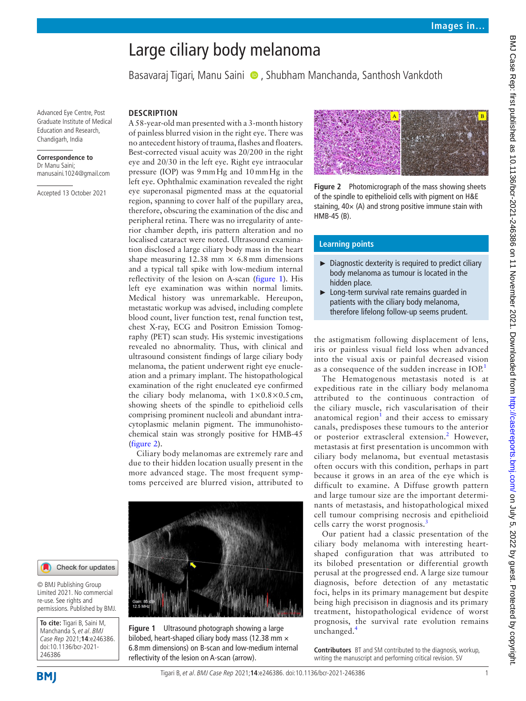# Large ciliary body melanoma

Basavaraj Tigari, Manu Saini (D, Shubham Manchanda, Santhosh Vankdoth

Advanced Eye Centre, Post Graduate Institute of Medical Education and Research, Chandigarh, India

# **Correspondence to**

Dr Manu Saini; manusaini.1024@gmail.com

Accepted 13 October 2021

## **DESCRIPTION**

A 58-year-old man presented with a 3-month history of painless blurred vision in the right eye. There was no antecedent history of trauma, flashes and floaters. Best-corrected visual acuity was 20/200 in the right eye and 20/30 in the left eye. Right eye intraocular pressure (IOP) was 9mmHg and 10mmHg in the left eye. Ophthalmic examination revealed the right eye superonasal pigmented mass at the equatorial region, spanning to cover half of the pupillary area, therefore, obscuring the examination of the disc and peripheral retina. There was no irregularity of anterior chamber depth, iris pattern alteration and no localised cataract were noted. Ultrasound examination disclosed a large ciliary body mass in the heart shape measuring 12.38 mm  $\times$  6.8 mm dimensions and a typical tall spike with low-medium internal reflectivity of the lesion on A-scan ([figure](#page-0-0) 1). His left eye examination was within normal limits. Medical history was unremarkable. Hereupon, metastatic workup was advised, including complete blood count, liver function test, renal function test, chest X-ray, ECG and Positron Emission Tomography (PET) scan study. His systemic investigations revealed no abnormality. Thus, with clinical and ultrasound consistent findings of large ciliary body melanoma, the patient underwent right eye enucleation and a primary implant. The histopathological examination of the right enucleated eye confirmed the ciliary body melanoma, with  $1\times0.8\times0.5$  cm, showing sheets of the spindle to epithelioid cells comprising prominent nucleoli and abundant intracytoplasmic melanin pigment. The immunohistochemical stain was strongly positive for HMB-45 ([figure](#page-0-1) 2).

Ciliary body melanomas are extremely rare and due to their hidden location usually present in the more advanced stage. The most frequent symptoms perceived are blurred vision, attributed to



#### Check for updates

© BMJ Publishing Group Limited 2021. No commercial re-use. See rights and permissions. Published by BMJ.

**To cite:** Tigari B, Saini M, Manchanda S, et al. BMJ Case Rep 2021;**14**:e246386. doi:10.1136/bcr-2021- 246386

<span id="page-0-0"></span>**Figure 1** Ultrasound photograph showing a large bilobed, heart-shaped ciliary body mass (12.38 mm  $\times$ 6.8mm dimensions) on B-scan and low-medium internal reflectivity of the lesion on A-scan (arrow).

<span id="page-0-1"></span>

**Figure 2** Photomicrograph of the mass showing sheets of the spindle to epithelioid cells with pigment on H&E staining,  $40 \times (A)$  and strong positive immune stain with HMB-45 (B).

## **Learning points**

- ► Diagnostic dexterity is required to predict ciliary body melanoma as tumour is located in the hidden place.
- ► Long-term survival rate remains guarded in patients with the ciliary body melanoma, therefore lifelong follow-up seems prudent.

the astigmatism following displacement of lens, iris or painless visual field loss when advanced into the visual axis or painful decreased vision as a consequence of the sudden increase in  $IO<sup>1</sup>$  $IO<sup>1</sup>$  $IO<sup>1</sup>$ .

The Hematogenous metastasis noted is at expeditious rate in the cilliary body melanoma attributed to the continuous contraction of the ciliary muscle, rich vascularisation of their anatomical region $1$  and their access to emissary canals, predisposes these tumours to the anterior or posterior extrascleral extension.<sup>[2](#page-1-1)</sup> However, metastasis at first presentation is uncommon with ciliary body melanoma, but eventual metastasis often occurs with this condition, perhaps in part because it grows in an area of the eye which is difficult to examine. A Diffuse growth pattern and large tumour size are the important determinants of metastasis, and histopathological mixed cell tumour comprising necrosis and epithelioid cells carry the worst prognosis.<sup>[3](#page-1-2)</sup>

Our patient had a classic presentation of the ciliary body melanoma with interesting heartshaped configuration that was attributed to its bilobed presentation or differential growth perusal at the progressed end. A large size tumour diagnosis, before detection of any metastatic foci, helps in its primary management but despite being high precisison in diagnosis and its primary treatment, histopathological evidence of worst prognosis, the survival rate evolution remains unchanged.<sup>[4](#page-1-3)</sup>

**Contributors** BT and SM contributed to the diagnosis, workup, writing the manuscript and performing critical revision. SV